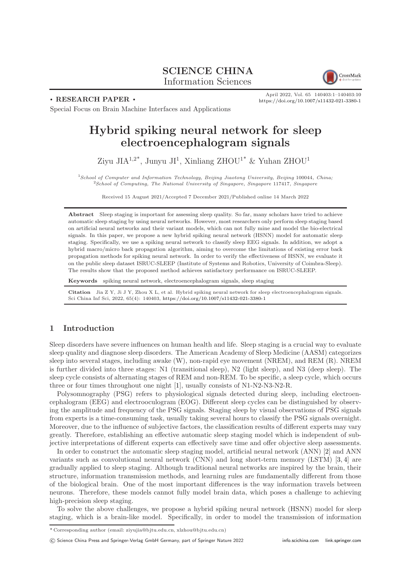# SCIENCE CHINA Information Sciences



. RESEARCH PAPER .

April 2022, Vol. 65 140403:1–140403[:10](#page-9-0) <https://doi.org/10.1007/s11432-021-3380-1>

Special Focus on Brain Machine Interfaces and Applications

# Hybrid spiking neural network for sleep electroencephalogram signals

Ziyu JI $A^{1,2^*}$ , Junyu JI<sup>1</sup>, Xinliang ZHOU<sup>1\*</sup> & Yuhan ZHOU<sup>1</sup>

<sup>1</sup>School of Computer and Information Technology, Beijing Jiaotong University, Beijing 100044, China;  $2$ School of Computing, The National University of Singapore, Singapore 117417, Singapore

Received 15 August 2021/Accepted 7 December 2021/Published online 14 March 2022

Abstract Sleep staging is important for assessing sleep quality. So far, many scholars have tried to achieve automatic sleep staging by using neural networks. However, most researchers only perform sleep staging based on artificial neural networks and their variant models, which can not fully mine and model the bio-electrical signals. In this paper, we propose a new hybrid spiking neural network (HSNN) model for automatic sleep staging. Specifically, we use a spiking neural network to classify sleep EEG signals. In addition, we adopt a hybrid macro/micro back propagation algorithm, aiming to overcome the limitations of existing error back propagation methods for spiking neural network. In order to verify the effectiveness of HSNN, we evaluate it on the public sleep dataset ISRUC-SLEEP (Institute of Systems and Robotics, University of Coimbra-Sleep). The results show that the proposed method achieves satisfactory performance on ISRUC-SLEEP.

Keywords spiking neural network, electroencephalogram signals, sleep staging

Citation Jia Z Y, Ji J Y, Zhou X L, et al. Hybrid spiking neural network for sleep electroencephalogram signals. Sci China Inf Sci, 2022, 65(4): 140403, <https://doi.org/10.1007/s11432-021-3380-1>

# 1 Introduction

Sleep disorders have severe influences on human health and life. Sleep staging is a crucial way to evaluate sleep quality and diagnose sleep disorders. The American Academy of Sleep Medicine (AASM) categorizes sleep into several stages, including awake (W), non-rapid eye movement (NREM), and REM (R). NREM is further divided into three stages: N1 (transitional sleep), N2 (light sleep), and N3 (deep sleep). The sleep cycle consists of alternating stages of REM and non-REM. To be specific, a sleep cycle, which occurs three or four times throughout one night [\[1\]](#page-9-1), usually consists of N1-N2-N3-N2-R.

Polysomnography (PSG) refers to physiological signals detected during sleep, including electroencephalogram (EEG) and electrooculogram (EOG). Different sleep cycles can be distinguished by observing the amplitude and frequency of the PSG signals. Staging sleep by visual observations of PSG signals from experts is a time-consuming task, usually taking several hours to classify the PSG signals overnight. Moreover, due to the influence of subjective factors, the classification results of different experts may vary greatly. Therefore, establishing an effective automatic sleep staging model which is independent of subjective interpretations of different experts can effectively save time and offer objective sleep assessments.

In order to construct the automatic sleep staging model, artificial neural network (ANN) [\[2\]](#page-9-2) and ANN variants such as convolutional neural network (CNN) and long short-term memory (LSTM) [\[3,](#page-9-3) [4\]](#page-9-4) are gradually applied to sleep staging. Although traditional neural networks are inspired by the brain, their structure, information transmission methods, and learning rules are fundamentally different from those of the biological brain. One of the most important differences is the way information travels between neurons. Therefore, these models cannot fully model brain data, which poses a challenge to achieving high-precision sleep staging.

To solve the above challenges, we propose a hybrid spiking neural network (HSNN) model for sleep staging, which is a brain-like model. Specifically, in order to model the transmission of information

<sup>\*</sup> Corresponding author (email: ziyujia@bjtu.edu.cn, xlzhou@bjtu.edu.cn)

<sup>©</sup> Science China Press and Springer-Verlag GmbH Germany, part of Springer Nature 2022 <info.scichina.com><link.springer.com>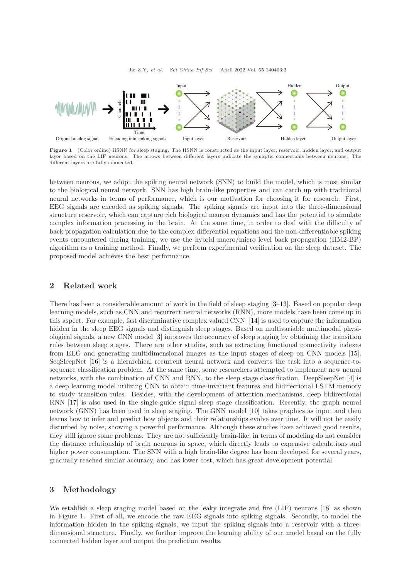



Figure 1 (Color online) HSNN for sleep staging. The HSNN is constructed as the input layer, reservoir, hidden layer, and output layer based on the LIF neurons. The arrows between different layers indicate the synaptic connections between neurons. The different layers are fully connected.

between neurons, we adopt the spiking neural network (SNN) to build the model, which is most similar to the biological neural network. SNN has high brain-like properties and can catch up with traditional neural networks in terms of performance, which is our motivation for choosing it for research. First, EEG signals are encoded as spiking signals. The spiking signals are input into the three-dimensional structure reservoir, which can capture rich biological neuron dynamics and has the potential to simulate complex information processing in the brain. At the same time, in order to deal with the difficulty of back propagation calculation due to the complex differential equations and the non-differentiable spiking events encountered during training, we use the hybrid macro/micro level back propagation (HM2-BP) algorithm as a training method. Finally, we perform experimental verification on the sleep dataset. The proposed model achieves the best performance.

## 2 Related work

There has been a considerable amount of work in the field of sleep staging [\[3](#page-9-3)[–13\]](#page-9-5). Based on popular deep learning models, such as CNN and recurrent neural networks (RNN), more models have been come up in this aspect. For example, fast discriminative complex valued CNN [\[14\]](#page-9-6) is used to capture the information hidden in the sleep EEG signals and distinguish sleep stages. Based on multivariable multimodal physiological signals, a new CNN model [\[3\]](#page-9-3) improves the accuracy of sleep staging by obtaining the transition rules between sleep stages. There are other studies, such as extracting functional connectivity indexes from EEG and generating multidimensional images as the input stages of sleep on CNN models [\[15\]](#page-9-7). SeqSleepNet [\[16\]](#page-9-8) is a hierarchical recurrent neural network and converts the task into a sequence-tosequence classification problem. At the same time, some researchers attempted to implement new neural networks, with the combination of CNN and RNN, to the sleep stage classification. DeepSleepNet [\[4\]](#page-9-4) is a deep learning model utilizing CNN to obtain time-invariant features and bidirectional LSTM memory to study transition rules. Besides, with the development of attention mechanisms, deep bidirectional RNN [\[17\]](#page-9-9) is also used in the single-guide signal sleep stage classification. Recently, the graph neural network (GNN) has been used in sleep staging. The GNN model [\[10\]](#page-9-10) takes graphics as input and then learns how to infer and predict how objects and their relationships evolve over time. It will not be easily disturbed by noise, showing a powerful performance. Although these studies have achieved good results, they still ignore some problems. They are not sufficiently brain-like, in terms of modeling do not consider the distance relationship of brain neurons in space, which directly leads to expensive calculations and higher power consumption. The SNN with a high brain-like degree has been developed for several years, gradually reached similar accuracy, and has lower cost, which has great development potential.

### 3 Methodology

We establish a sleep staging model based on the leaky integrate and fire (LIF) neurons [\[18\]](#page-9-11) as shown in Figure 1. First of all, we encode the raw EEG signals into spiking signals. Secondly, to model the information hidden in the spiking signals, we input the spiking signals into a reservoir with a threedimensional structure. Finally, we further improve the learning ability of our model based on the fully connected hidden layer and output the prediction results.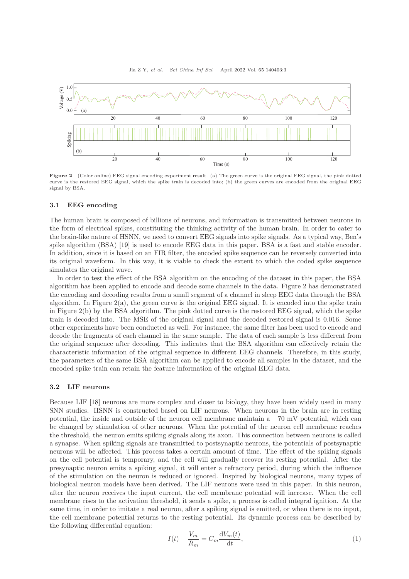

Figure 2 (Color online) EEG signal encoding experiment result. (a) The green curve is the original EEG signal, the pink dotted curve is the restored EEG signal, which the spike train is decoded into; (b) the green curves are encoded from the original EEG signal by BSA.

#### 3.1 EEG encoding

The human brain is composed of billions of neurons, and information is transmitted between neurons in the form of electrical spikes, constituting the thinking activity of the human brain. In order to cater to the brain-like nature of HSNN, we need to convert EEG signals into spike signals. As a typical way, Ben's spike algorithm (BSA) [\[19\]](#page-9-12) is used to encode EEG data in this paper. BSA is a fast and stable encoder. In addition, since it is based on an FIR filter, the encoded spike sequence can be reversely converted into its original waveform. In this way, it is viable to check the extent to which the coded spike sequence simulates the original wave.

In order to test the effect of the BSA algorithm on the encoding of the dataset in this paper, the BSA algorithm has been applied to encode and decode some channels in the data. Figure 2 has demonstrated the encoding and decoding results from a small segment of a channel in sleep EEG data through the BSA algorithm. In Figure 2(a), the green curve is the original EEG signal. It is encoded into the spike train in Figure 2(b) by the BSA algorithm. The pink dotted curve is the restored EEG signal, which the spike train is decoded into. The MSE of the original signal and the decoded restored signal is 0.016. Some other experiments have been conducted as well. For instance, the same filter has been used to encode and decode the fragments of each channel in the same sample. The data of each sample is less different from the original sequence after decoding. This indicates that the BSA algorithm can effectively retain the characteristic information of the original sequence in different EEG channels. Therefore, in this study, the parameters of the same BSA algorithm can be applied to encode all samples in the dataset, and the encoded spike train can retain the feature information of the original EEG data.

### 3.2 LIF neurons

Because LIF [\[18\]](#page-9-11) neurons are more complex and closer to biology, they have been widely used in many SNN studies. HSNN is constructed based on LIF neurons. When neurons in the brain are in resting potential, the inside and outside of the neuron cell membrane maintain a −70 mV potential, which can be changed by stimulation of other neurons. When the potential of the neuron cell membrane reaches the threshold, the neuron emits spiking signals along its axon. This connection between neurons is called a synapse. When spiking signals are transmitted to postsynaptic neurons, the potentials of postsynaptic neurons will be affected. This process takes a certain amount of time. The effect of the spiking signals on the cell potential is temporary, and the cell will gradually recover its resting potential. After the presynaptic neuron emits a spiking signal, it will enter a refractory period, during which the influence of the stimulation on the neuron is reduced or ignored. Inspired by biological neurons, many types of biological neuron models have been derived. The LIF neurons were used in this paper. In this neuron, after the neuron receives the input current, the cell membrane potential will increase. When the cell membrane rises to the activation threshold, it sends a spike, a process is called integral ignition. At the same time, in order to imitate a real neuron, after a spiking signal is emitted, or when there is no input, the cell membrane potential returns to the resting potential. Its dynamic process can be described by the following differential equation:

$$
I(t) - \frac{V_m}{R_m} = C_m \frac{\mathrm{d}V_m(t)}{\mathrm{d}t},\tag{1}
$$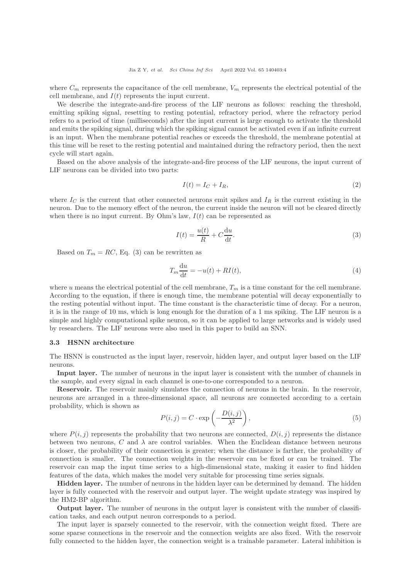where  $C_m$  represents the capacitance of the cell membrane,  $V_m$  represents the electrical potential of the cell membrane, and  $I(t)$  represents the input current.

We describe the integrate-and-fire process of the LIF neurons as follows: reaching the threshold, emitting spiking signal, resetting to resting potential, refractory period, where the refractory period refers to a period of time (milliseconds) after the input current is large enough to activate the threshold and emits the spiking signal, during which the spiking signal cannot be activated even if an infinite current is an input. When the membrane potential reaches or exceeds the threshold, the membrane potential at this time will be reset to the resting potential and maintained during the refractory period, then the next cycle will start again.

Based on the above analysis of the integrate-and-fire process of the LIF neurons, the input current of LIF neurons can be divided into two parts:

$$
I(t) = I_C + I_R,\tag{2}
$$

where  $I_C$  is the current that other connected neurons emit spikes and  $I_R$  is the current existing in the neuron. Due to the memory effect of the neuron, the current inside the neuron will not be cleared directly when there is no input current. By Ohm's law,  $I(t)$  can be represented as

$$
I(t) = \frac{u(t)}{R} + C\frac{\mathrm{d}u}{\mathrm{d}t}.\tag{3}
$$

Based on  $T_m = RC$ , Eq. (3) can be rewritten as

$$
T_m \frac{\mathrm{d}u}{\mathrm{d}t} = -u(t) + RI(t),\tag{4}
$$

where u means the electrical potential of the cell membrane,  $T_m$  is a time constant for the cell membrane. According to the equation, if there is enough time, the membrane potential will decay exponentially to the resting potential without input. The time constant is the characteristic time of decay. For a neuron, it is in the range of 10 ms, which is long enough for the duration of a 1 ms spiking. The LIF neuron is a simple and highly computational spike neuron, so it can be applied to large networks and is widely used by researchers. The LIF neurons were also used in this paper to build an SNN.

#### 3.3 HSNN architecture

The HSNN is constructed as the input layer, reservoir, hidden layer, and output layer based on the LIF neurons.

Input layer. The number of neurons in the input layer is consistent with the number of channels in the sample, and every signal in each channel is one-to-one corresponded to a neuron.

Reservoir. The reservoir mainly simulates the connection of neurons in the brain. In the reservoir, neurons are arranged in a three-dimensional space, all neurons are connected according to a certain probability, which is shown as

$$
P(i,j) = C \cdot \exp\left(-\frac{D(i,j)}{\lambda^2}\right),\tag{5}
$$

where  $P(i, j)$  represents the probability that two neurons are connected,  $D(i, j)$  represents the distance between two neurons, C and  $\lambda$  are control variables. When the Euclidean distance between neurons is closer, the probability of their connection is greater; when the distance is farther, the probability of connection is smaller. The connection weights in the reservoir can be fixed or can be trained. The reservoir can map the input time series to a high-dimensional state, making it easier to find hidden features of the data, which makes the model very suitable for processing time series signals.

Hidden layer. The number of neurons in the hidden layer can be determined by demand. The hidden layer is fully connected with the reservoir and output layer. The weight update strategy was inspired by the HM2-BP algorithm.

Output layer. The number of neurons in the output layer is consistent with the number of classification tasks, and each output neuron corresponds to a period.

The input layer is sparsely connected to the reservoir, with the connection weight fixed. There are some sparse connections in the reservoir and the connection weights are also fixed. With the reservoir fully connected to the hidden layer, the connection weight is a trainable parameter. Lateral inhibition is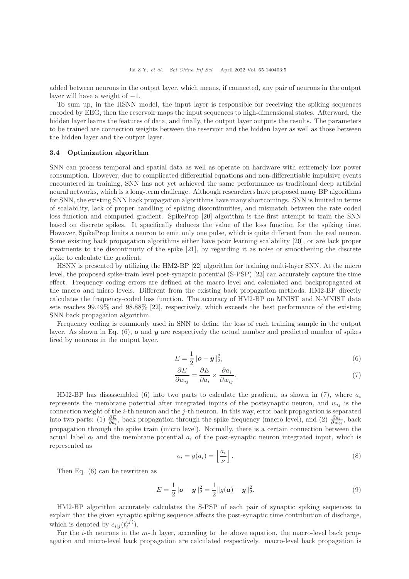added between neurons in the output layer, which means, if connected, any pair of neurons in the output layer will have a weight of  $-1$ .

To sum up, in the HSNN model, the input layer is responsible for receiving the spiking sequences encoded by EEG, then the reservoir maps the input sequences to high-dimensional states. Afterward, the hidden layer learns the features of data, and finally, the output layer outputs the results. The parameters to be trained are connection weights between the reservoir and the hidden layer as well as those between the hidden layer and the output layer.

#### 3.4 Optimization algorithm

SNN can process temporal and spatial data as well as operate on hardware with extremely low power consumption. However, due to complicated differential equations and non-differentiable impulsive events encountered in training, SNN has not yet achieved the same performance as traditional deep artificial neural networks, which is a long-term challenge. Although researchers have proposed many BP algorithms for SNN, the existing SNN back propagation algorithms have many shortcomings. SNN is limited in terms of scalability, lack of proper handling of spiking discontinuities, and mismatch between the rate coded loss function and computed gradient. SpikeProp [\[20\]](#page-9-13) algorithm is the first attempt to train the SNN based on discrete spikes. It specifically deduces the value of the loss function for the spiking time. However, SpikeProp limits a neuron to emit only one pulse, which is quite different from the real neuron. Some existing back propagation algorithms either have poor learning scalability [\[20\]](#page-9-13), or are lack proper treatments to the discontinuity of the spike [\[21\]](#page-9-14), by regarding it as noise or smoothening the discrete spike to calculate the gradient.

HSNN is presented by utilizing the HM2-BP [\[22\]](#page-9-15) algorithm for training multi-layer SNN. At the micro level, the proposed spike-train level post-synaptic potential (S-PSP) [\[23\]](#page-9-16) can accurately capture the time effect. Frequency coding errors are defined at the macro level and calculated and backpropagated at the macro and micro levels. Different from the existing back propagation methods, HM2-BP directly calculates the frequency-coded loss function. The accuracy of HM2-BP on MNIST and N-MNIST data sets reaches 99.49% and 98.88% [\[22\]](#page-9-15), respectively, which exceeds the best performance of the existing SNN back propagation algorithm.

Frequency coding is commonly used in SNN to define the loss of each training sample in the output layer. As shown in Eq.  $(6)$ ,  $\boldsymbol{o}$  and  $\boldsymbol{y}$  are respectively the actual number and predicted number of spikes fired by neurons in the output layer.

$$
E = \frac{1}{2} ||\boldsymbol{o} - \boldsymbol{y}||_2^2, \tag{6}
$$

$$
\frac{\partial E}{\partial w_{ij}} = \frac{\partial E}{\partial a_i} \times \frac{\partial a_i}{\partial w_{ij}}.\tag{7}
$$

HM2-BP has disassembled (6) into two parts to calculate the gradient, as shown in (7), where  $a_i$ represents the membrane potential after integrated inputs of the postsynaptic neuron, and  $w_{ij}$  is the connection weight of the  $i$ -th neuron and the  $j$ -th neuron. In this way, error back propagation is separated into two parts: (1)  $\frac{\partial E}{\partial a_i}$ , back propagation through the spike frequency (macro level), and (2)  $\frac{\partial a_i}{\partial w_{ij}}$ , back propagation through the spike train (micro level). Normally, there is a certain connection between the actual label  $o_i$  and the membrane potential  $a_i$  of the post-synaptic neuron integrated input, which is represented as

$$
o_i = g(a_i) = \left\lfloor \frac{a_i}{\nu} \right\rfloor. \tag{8}
$$

Then Eq. (6) can be rewritten as

$$
E = \frac{1}{2} ||\boldsymbol{\sigma} - \boldsymbol{y}||_2^2 = \frac{1}{2} ||g(\boldsymbol{\alpha}) - \boldsymbol{y}||_2^2.
$$
 (9)

HM2-BP algorithm accurately calculates the S-PSP of each pair of synaptic spiking sequences to explain that the given synaptic spiking sequence affects the post-synaptic time contribution of discharge, which is denoted by  $e_{i|j}(t_i^{(f)})$ .

For the *i*-th neurons in the *m*-th layer, according to the above equation, the macro-level back propagation and micro-level back propagation are calculated respectively. macro-level back propagation is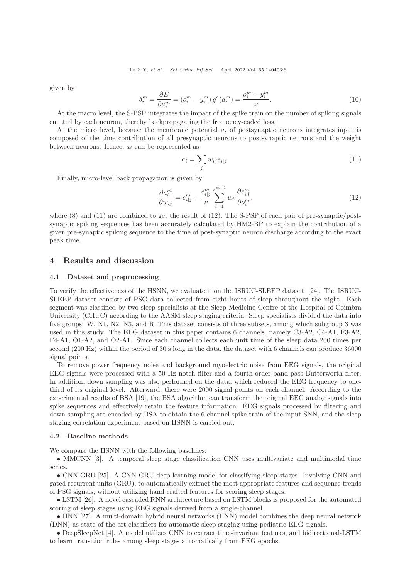given by

$$
\delta_i^m = \frac{\partial E}{\partial a_i^m} = \left( o_i^m - y_i^m \right) g' \left( a_i^m \right) = \frac{o_i^m - y_i^m}{\nu}.
$$
\n<sup>(10)</sup>

At the macro level, the S-PSP integrates the impact of the spike train on the number of spiking signals emitted by each neuron, thereby backpropagating the frequency-coded loss.

At the micro level, because the membrane potential  $a_i$  of postsynaptic neurons integrates input is composed of the time contribution of all presynaptic neurons to postsynaptic neurons and the weight between neurons. Hence,  $a_i$  can be represented as

$$
a_i = \sum_j w_{ij} e_{i|j}.\tag{11}
$$

Finally, micro-level back propagation is given by

$$
\frac{\partial a_i^m}{\partial w_{ij}} = e_{i|j}^m + \frac{e_{i|j}^m}{\nu} \sum_{l=1}^{r^{m-1}} w_{il} \frac{\partial e_{i|l}^m}{\partial o_i^m},\tag{12}
$$

where  $(8)$  and  $(11)$  are combined to get the result of  $(12)$ . The S-PSP of each pair of pre-synaptic/postsynaptic spiking sequences has been accurately calculated by HM2-BP to explain the contribution of a given pre-synaptic spiking sequence to the time of post-synaptic neuron discharge according to the exact peak time.

## 4 Results and discussion

#### 4.1 Dataset and preprocessing

To verify the effectiveness of the HSNN, we evaluate it on the ISRUC-SLEEP dataset [\[24\]](#page-9-17). The ISRUC-SLEEP dataset consists of PSG data collected from eight hours of sleep throughout the night. Each segment was classified by two sleep specialists at the Sleep Medicine Centre of the Hospital of Coimbra University (CHUC) according to the AASM sleep staging criteria. Sleep specialists divided the data into five groups: W, N1, N2, N3, and R. This dataset consists of three subsets, among which subgroup 3 was used in this study. The EEG dataset in this paper contains 6 channels, namely C3-A2, C4-A1, F3-A2, F4-A1, O1-A2, and O2-A1. Since each channel collects each unit time of the sleep data 200 times per second (200 Hz) within the period of 30 s long in the data, the dataset with 6 channels can produce 36000 signal points.

To remove power frequency noise and background myoelectric noise from EEG signals, the original EEG signals were processed with a 50 Hz notch filter and a fourth-order band-pass Butterworth filter. In addition, down sampling was also performed on the data, which reduced the EEG frequency to onethird of its original level. Afterward, there were 2000 signal points on each channel. According to the experimental results of BSA [\[19\]](#page-9-12), the BSA algorithm can transform the original EEG analog signals into spike sequences and effectively retain the feature information. EEG signals processed by filtering and down sampling are encoded by BSA to obtain the 6-channel spike train of the input SNN, and the sleep staging correlation experiment based on HSNN is carried out.

### 4.2 Baseline methods

We compare the HSNN with the following baselines:

• MMCNN [\[3\]](#page-9-3). A temporal sleep stage classification CNN uses multivariate and multimodal time series.

• CNN-GRU [\[25\]](#page-9-18). A CNN-GRU deep learning model for classifying sleep stages. Involving CNN and gated recurrent units (GRU), to automatically extract the most appropriate features and sequence trends of PSG signals, without utilizing hand crafted features for scoring sleep stages.

• LSTM [\[26\]](#page-9-19). A novel cascaded RNN architecture based on LSTM blocks is proposed for the automated scoring of sleep stages using EEG signals derived from a single-channel.

• HNN [\[27\]](#page-9-20). A multi-domain hybrid neural networks (HNN) model combines the deep neural network (DNN) as state-of-the-art classifiers for automatic sleep staging using pediatric EEG signals.

• DeepSleepNet [\[4\]](#page-9-4). A model utilizes CNN to extract time-invariant features, and bidirectional-LSTM to learn transition rules among sleep stages automatically from EEG epochs.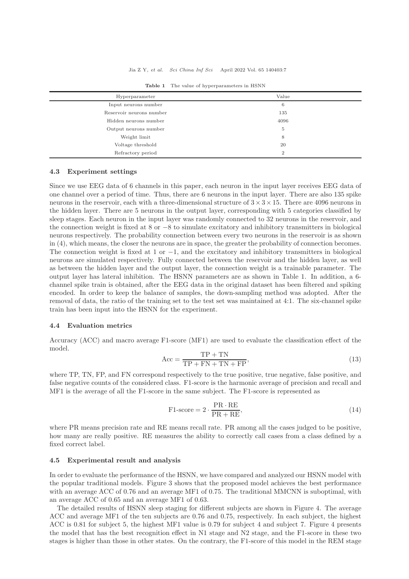#### Jia Z Y, et al. Sci China Inf Sci April 2022 Vol. 65 140403:7

| Hyperparameter           | Value          |
|--------------------------|----------------|
| Input neurons number     | 6              |
| Reservoir neurons number | 135            |
| Hidden neurons number    | 4096           |
| Output neurons number    | 5              |
| Weight limit             | 8              |
| Voltage threshold        | 20             |
| Refractory period        | $\overline{2}$ |

Table 1 The value of hyperparameters in HSNN

## 4.3 Experiment settings

Since we use EEG data of 6 channels in this paper, each neuron in the input layer receives EEG data of one channel over a period of time. Thus, there are 6 neurons in the input layer. There are also 135 spike neurons in the reservoir, each with a three-dimensional structure of  $3 \times 3 \times 15$ . There are 4096 neurons in the hidden layer. There are 5 neurons in the output layer, corresponding with 5 categories classified by sleep stages. Each neuron in the input layer was randomly connected to 32 neurons in the reservoir, and the connection weight is fixed at 8 or −8 to simulate excitatory and inhibitory transmitters in biological neurons respectively. The probability connection between every two neurons in the reservoir is as shown in (4), which means, the closer the neurons are in space, the greater the probability of connection becomes. The connection weight is fixed at 1 or  $-1$ , and the excitatory and inhibitory transmitters in biological neurons are simulated respectively. Fully connected between the reservoir and the hidden layer, as well as between the hidden layer and the output layer, the connection weight is a trainable parameter. The output layer has lateral inhibition. The HSNN parameters are as shown in Table 1. In addition, a 6 channel spike train is obtained, after the EEG data in the original dataset has been filtered and spiking encoded. In order to keep the balance of samples, the down-sampling method was adopted. After the removal of data, the ratio of the training set to the test set was maintained at 4:1. The six-channel spike train has been input into the HSNN for the experiment.

#### 4.4 Evaluation metrics

Accuracy (ACC) and macro average F1-score (MF1) are used to evaluate the classification effect of the model.

$$
Acc = \frac{TP + TN}{TP + FN + TN + FP},
$$
\n(13)

where TP, TN, FP, and FN correspond respectively to the true positive, true negative, false positive, and false negative counts of the considered class. F1-score is the harmonic average of precision and recall and MF1 is the average of all the F1-score in the same subject. The F1-score is represented as

$$
F1-score = 2 \cdot \frac{PR \cdot RE}{PR + RE},\tag{14}
$$

where PR means precision rate and RE means recall rate. PR among all the cases judged to be positive, how many are really positive. RE measures the ability to correctly call cases from a class defined by a fixed correct label.

#### 4.5 Experimental result and analysis

In order to evaluate the performance of the HSNN, we have compared and analyzed our HSNN model with the popular traditional models. Figure 3 shows that the proposed model achieves the best performance with an average ACC of 0.76 and an average MF1 of 0.75. The traditional MMCNN is suboptimal, with an average ACC of 0.65 and an average MF1 of 0.63.

The detailed results of HSNN sleep staging for different subjects are shown in Figure 4. The average ACC and average MF1 of the ten subjects are 0.76 and 0.75, respectively. In each subject, the highest ACC is 0.81 for subject 5, the highest MF1 value is 0.79 for subject 4 and subject 7. Figure 4 presents the model that has the best recognition effect in N1 stage and N2 stage, and the F1-score in these two stages is higher than those in other states. On the contrary, the F1-score of this model in the REM stage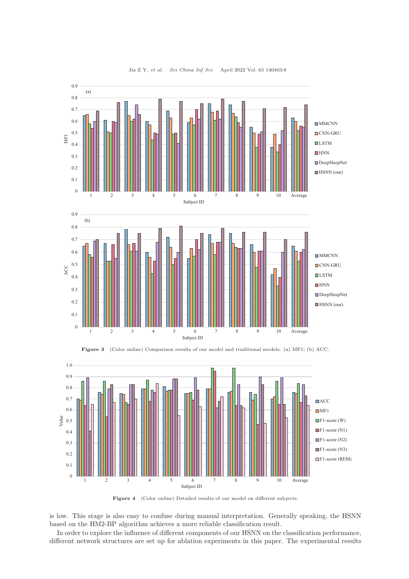



Figure 4 (Color online) Detailed results of our model on different subjects.

is low. This stage is also easy to confuse during manual interpretation. Generally speaking, the HSNN based on the HM2-BP algorithm achieves a more reliable classification result.

In order to explore the influence of different components of our HSNN on the classification performance, different network structures are set up for ablation experiments in this paper. The experimental results

#### Jia Z Y, et al. Sci China Inf Sci April 2022 Vol. 65 140403:8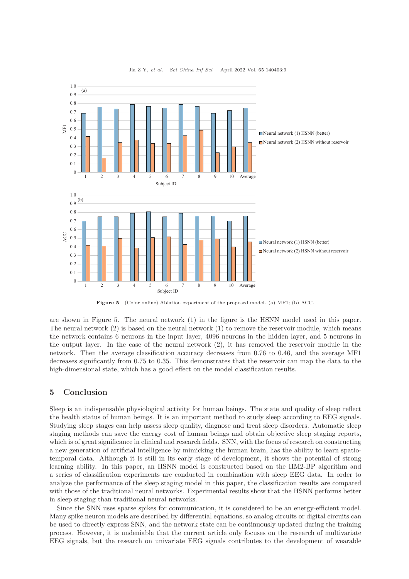

Jia Z Y, et al. Sci China Inf Sci April 2022 Vol. 65 140403:9

Figure 5 (Color online) Ablation experiment of the proposed model. (a) MF1; (b) ACC.

are shown in Figure 5. The neural network (1) in the figure is the HSNN model used in this paper. The neural network (2) is based on the neural network (1) to remove the reservoir module, which means the network contains 6 neurons in the input layer, 4096 neurons in the hidden layer, and 5 neurons in the output layer. In the case of the neural network (2), it has removed the reservoir module in the network. Then the average classification accuracy decreases from 0.76 to 0.46, and the average MF1 decreases significantly from 0.75 to 0.35. This demonstrates that the reservoir can map the data to the high-dimensional state, which has a good effect on the model classification results.

## 5 Conclusion

Sleep is an indispensable physiological activity for human beings. The state and quality of sleep reflect the health status of human beings. It is an important method to study sleep according to EEG signals. Studying sleep stages can help assess sleep quality, diagnose and treat sleep disorders. Automatic sleep staging methods can save the energy cost of human beings and obtain objective sleep staging reports, which is of great significance in clinical and research fields. SNN, with the focus of research on constructing a new generation of artificial intelligence by mimicking the human brain, has the ability to learn spatiotemporal data. Although it is still in its early stage of development, it shows the potential of strong learning ability. In this paper, an HSNN model is constructed based on the HM2-BP algorithm and a series of classification experiments are conducted in combination with sleep EEG data. In order to analyze the performance of the sleep staging model in this paper, the classification results are compared with those of the traditional neural networks. Experimental results show that the HSNN performs better in sleep staging than traditional neural networks.

Since the SNN uses sparse spikes for communication, it is considered to be an energy-efficient model. Many spike neuron models are described by differential equations, so analog circuits or digital circuits can be used to directly express SNN, and the network state can be continuously updated during the training process. However, it is undeniable that the current article only focuses on the research of multivariate EEG signals, but the research on univariate EEG signals contributes to the development of wearable